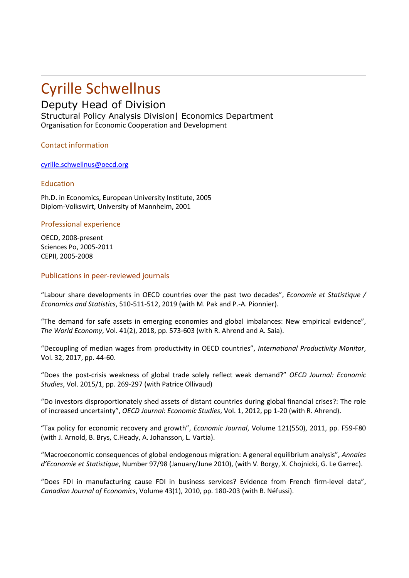# Cyrille Schwellnus

# Deputy Head of Division

Structural Policy Analysis Division| Economics Department Organisation for Economic Cooperation and Development

Contact information

[cyrille.schwellnus@oecd.org](mailto:cyrille.schwellnus@oecd.org)

# Education

Ph.D. in Economics, European University Institute, 2005 Diplom-Volkswirt, University of Mannheim, 2001

# Professional experience

OECD, 2008-present Sciences Po, 2005-2011 CEPII, 2005-2008

### Publications in peer-reviewed journals

"Labour share developments in OECD countries over the past two decades", *Economie et Statistique / Economics and Statistics*, 510-511-512, 2019 (with M. Pak and P.-A. Pionnier).

"The demand for safe assets in emerging economies and global imbalances: New empirical evidence", *The World Economy*, Vol. 41(2), 2018, pp. 573-603 (with R. Ahrend and A. Saia).

"Decoupling of median wages from productivity in OECD countries", *International Productivity Monitor*, Vol. 32, 2017, pp. 44-60.

"Does the post-crisis weakness of global trade solely reflect weak demand?" *OECD Journal: Economic Studies*, Vol. 2015/1, pp. 269-297 (with Patrice Ollivaud)

"Do investors disproportionately shed assets of distant countries during global financial crises?: The role of increased uncertainty", *OECD Journal: Economic Studies*, Vol. 1, 2012, pp 1-20 (with R. Ahrend).

"Tax policy for economic recovery and growth", *Economic Journal*, Volume 121(550), 2011, pp. F59-F80 (with J. Arnold, B. Brys, C.Heady, A. Johansson, L. Vartia).

"Macroeconomic consequences of global endogenous migration: A general equilibrium analysis", *Annales d'Economie et Statistique*, Number 97/98 (January/June 2010), (with V. Borgy, X. Chojnicki, G. Le Garrec).

"Does FDI in manufacturing cause FDI in business services? Evidence from French firm-level data", *Canadian Journal of Economics*, Volume 43(1), 2010, pp. 180-203 (with B. Néfussi).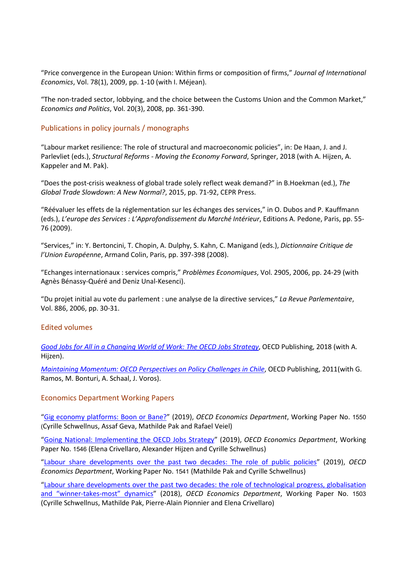"Price convergence in the European Union: Within firms or composition of firms," *Journal of International Economics*, Vol. 78(1), 2009, pp. 1-10 (with I. Méjean).

"The non-traded sector, lobbying, and the choice between the Customs Union and the Common Market," *Economics and Politics*, Vol. 20(3), 2008, pp. 361-390.

#### Publications in policy journals / monographs

"Labour market resilience: The role of structural and macroeconomic policies", in: De Haan, J. and J. Parlevliet (eds.), *Structural Reforms ‐ Moving the Economy Forward*, Springer, 2018 (with A. Hijzen, A. Kappeler and M. Pak).

"Does the post-crisis weakness of global trade solely reflect weak demand?" in B.Hoekman (ed.), *The Global Trade Slowdown: A New Normal?*, 2015, pp. 71-92, CEPR Press.

"Réévaluer les effets de la réglementation sur les échanges des services," in O. Dubos and P. Kauffmann (eds.), *L'europe des Services : L'Approfondissement du Marché Intérieur*, Editions A. Pedone, Paris, pp. 55- 76 (2009).

"Services," in: Y. Bertoncini, T. Chopin, A. Dulphy, S. Kahn, C. Manigand (eds.), *Dictionnaire Critique de l'Union Européenne*, Armand Colin, Paris, pp. 397-398 (2008).

"Echanges internationaux : services compris," *Problèmes Economiques*, Vol. 2905, 2006, pp. 24-29 (with Agnès Bénassy-Quéré and Deniz Unal-Kesenci).

"Du projet initial au vote du parlement : une analyse de la directive services," *La Revue Parlementaire*, Vol. 886, 2006, pp. 30-31.

#### Edited volumes

*[Good Jobs for All in a Changing World of Work: The OECD Jobs Strategy](http://www.oecd.org/publications/good-jobs-for-all-in-a-changing-world-of-work-9789264308817-en.htm)*, OECD Publishing, 2018 (with A. Hijzen).

*[Maintaining Momentum: OECD Perspectives on Policy Challenges in Chile](https://www.oecd.org/chile/maintainingmomentumoecdperspectivesonpolicychallengesinchile.htm), OECD Publishing, 2011(with G.* Ramos, M. Bonturi, A. Schaal, J. Voros).

#### Economics Department Working Papers

["Gig economy platforms: Boon or Bane?"](https://doi.org/10.1787/fdb0570b-en) (2019), *OECD Economics Department*, Working Paper No. 1550 (Cyrille Schwellnus, Assaf Geva, Mathilde Pak and Rafael Veiel)

["Going National: Implementing the OECD Jobs Strategy"](https://doi.org/10.1787/b598f530-en) (2019), *OECD Economics Department*, Working Paper No. 1546 (Elena Crivellaro, Alexander Hijzen and Cyrille Schwellnus)

["Labour share developments over the past two decades: The role of public policies"](https://doi.org/10.1787/b21e518b-en) (2019), *OECD Economics Department*, Working Paper No. 1541 (Mathilde Pak and Cyrille Schwellnus)

["Labour share developments over the past two decades: the role of technological progress, globalisation](https://www.oecd-ilibrary.org/economics/labour-share-developments-over-the-past-two-decades_3eb9f9ed-en)  [and "winner-takes-most" dynamics"](https://www.oecd-ilibrary.org/economics/labour-share-developments-over-the-past-two-decades_3eb9f9ed-en) (2018), *OECD Economics Department*, Working Paper No. 1503 (Cyrille Schwellnus, Mathilde Pak, Pierre-Alain Pionnier and Elena Crivellaro)